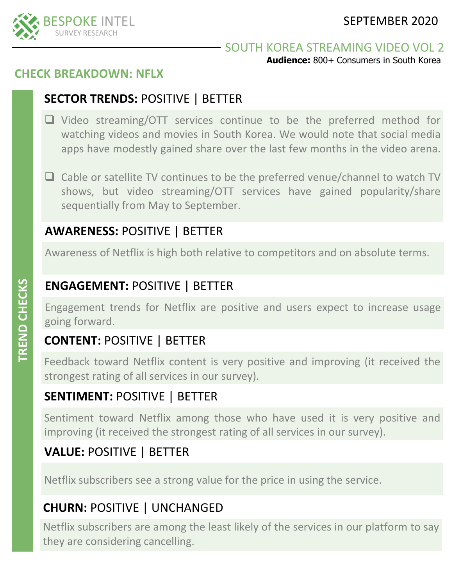

### SOUTH KOREA STREAMING VIDEO VOL 2

**Audience:** 800+ Consumers in South Korea

## **CHECK BREAKDOWN: NFLX**

# **SECTOR TRENDS:** POSITIVE | BETTER

- ❑ Video streaming/OTT services continue to be the preferred method for watching videos and movies in South Korea. We would note that social media apps have modestly gained share over the last few months in the video arena.
- ❑ Cable or satellite TV continues to be the preferred venue/channel to watch TV shows, but video streaming/OTT services have gained popularity/share sequentially from May to September.

# **AWARENESS:** POSITIVE | BETTER

Awareness of Netflix is high both relative to competitors and on absolute terms.

# **ENGAGEMENT:** POSITIVE | BETTER

Engagement trends for Netflix are positive and users expect to increase usage going forward.

# **CONTENT:** POSITIVE | BETTER

Feedback toward Netflix content is very positive and improving (it received the strongest rating of all services in our survey).

## **SENTIMENT:** POSITIVE | BETTER

Sentiment toward Netflix among those who have used it is very positive and improving (it received the strongest rating of all services in our survey).

# **VALUE:** POSITIVE | BETTER

Netflix subscribers see a strong value for the price in using the service.

# **CHURN:** POSITIVE | UNCHANGED

Netflix subscribers are among the least likely of the services in our platform to say they are considering cancelling.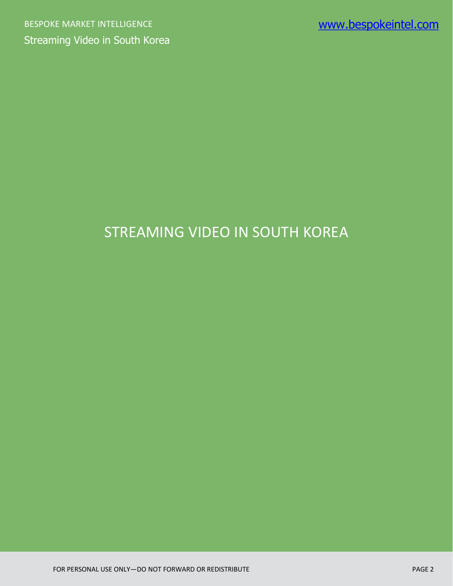# STREAMING VIDEO IN SOUTH KOREA

FOR PERSONAL USE ONLY—DO NOT FORWARD OR REDISTRIBUTE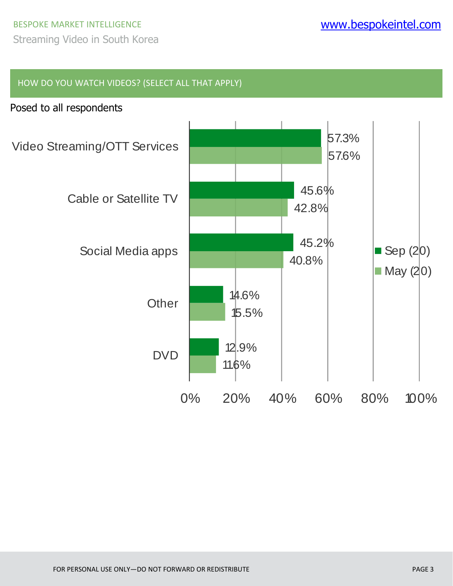# BESPOKE MARKET INTELLIGENCE WWW.**bespokeintel.com**

Streaming Video in South Korea

#### HOW DO YOU WATCH VIDEOS? (SELECT ALL THAT APPLY)

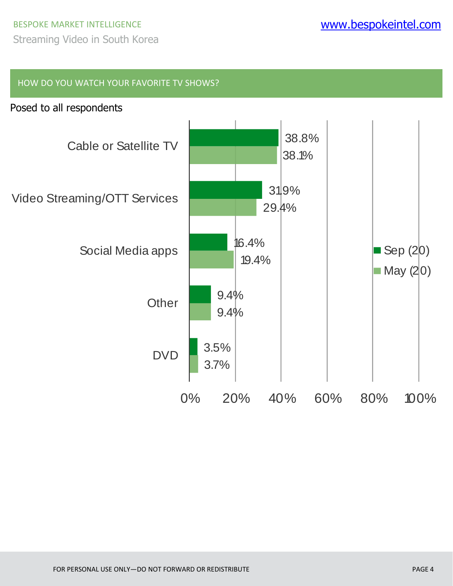HOW DO YOU WATCH YOUR FAVORITE TV SHOWS?

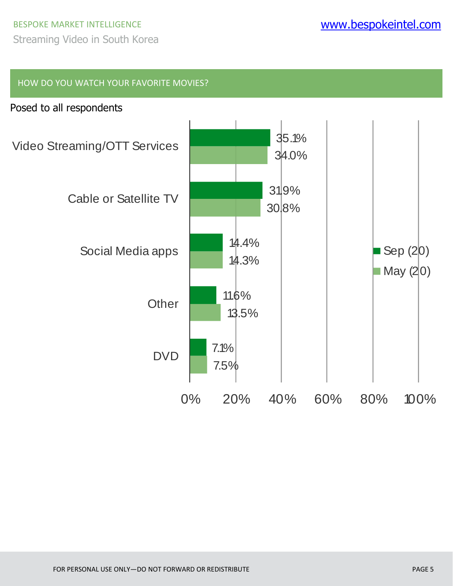# BESPOKE MARKET INTELLIGENCE WWW.**bespokeintel.com**

Streaming Video in South Korea

#### HOW DO YOU WATCH YOUR FAVORITE MOVIES?

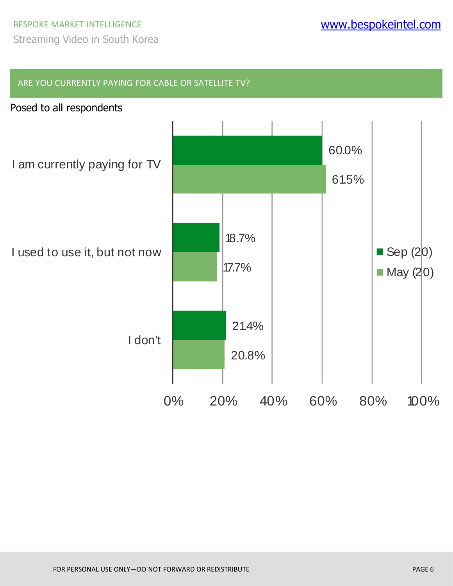#### ARE YOU CURRENTLY PAYING FOR CABLE OR SATELLITE TV?



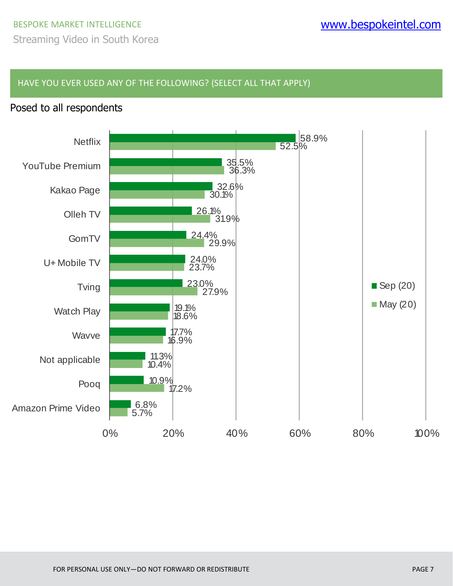HAVE YOU EVER USED ANY OF THE FOLLOWING? (SELECT ALL THAT APPLY)

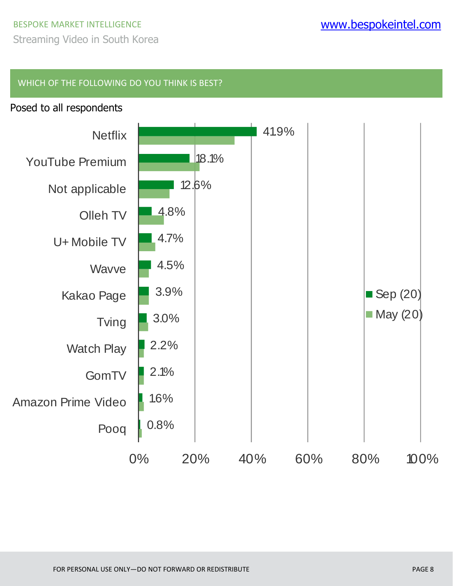#### WHICH OF THE FOLLOWING DO YOU THINK IS BEST?

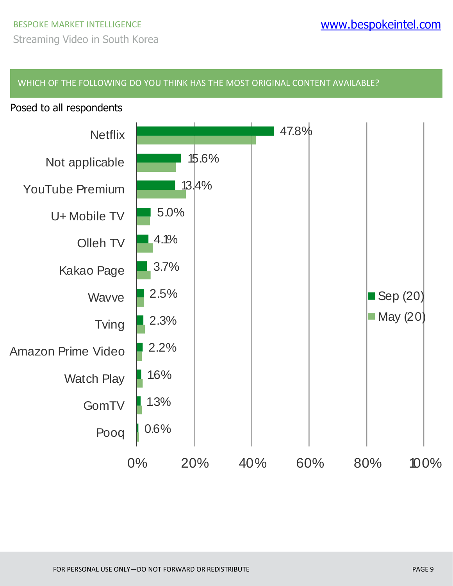#### WHICH OF THE FOLLOWING DO YOU THINK HAS THE MOST ORIGINAL CONTENT AVAILABLE?



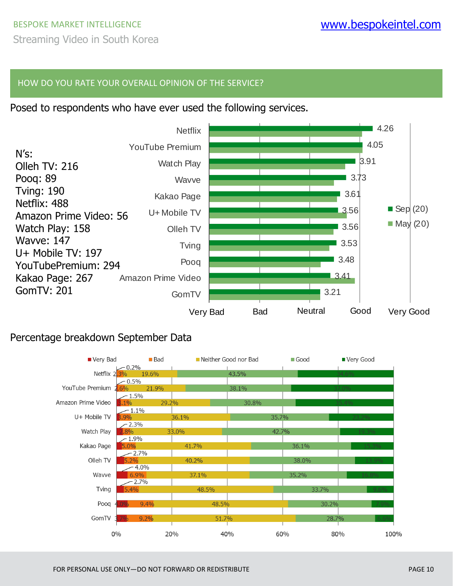#### HOW DO YOU RATE YOUR OVERALL OPINION OF THE SERVICE?

Posed to respondents who have ever used the following services.



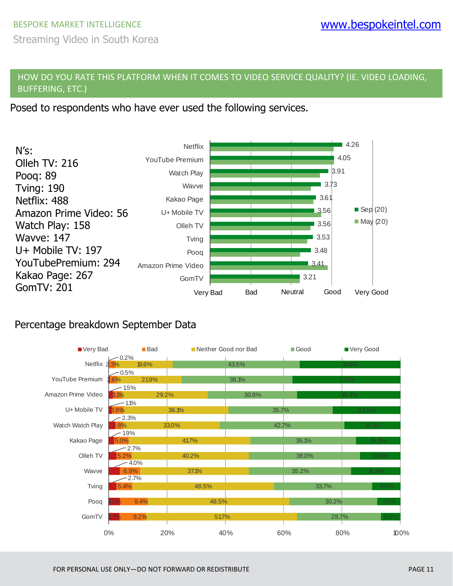Streaming Video in South Korea

#### HOW DO YOU RATE THIS PLATFORM WHEN IT COMES TO VIDEO SERVICE QUALITY? (IE. VIDEO LOADING, BUFFERING, ETC.)

Posed to respondents who have ever used the following services.



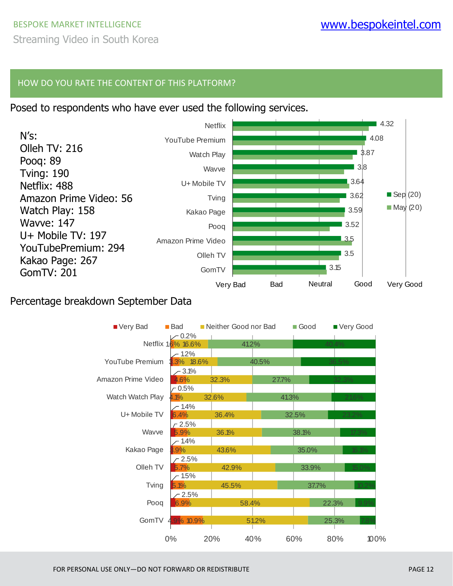### BESPOKE MARKET INTELLIGENCE WWW.**bespokeintel.com** Streaming Video in South Korea

#### HOW DO YOU RATE THE CONTENT OF THIS PLATFORM?

#### Posed to respondents who have ever used the following services.



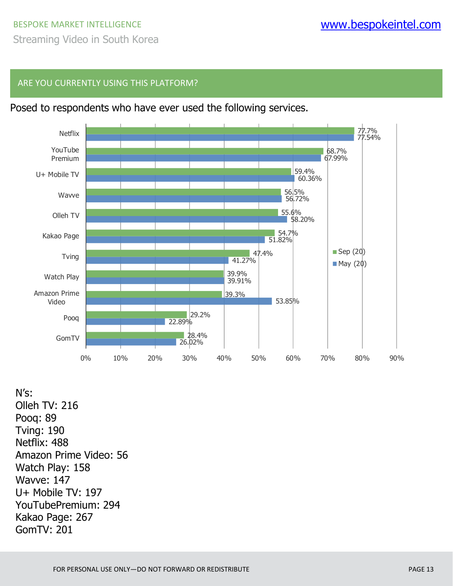#### ARE YOU CURRENTLY USING THIS PLATFORM?



Posed to respondents who have ever used the following services.

N's: Olleh TV: 216 Pooq: 89 Tving: 190 Netflix: 488 Amazon Prime Video: 56 Watch Play: 158 Wavve: 147 U+ Mobile TV: 197 YouTubePremium: 294 Kakao Page: 267 GomTV: 201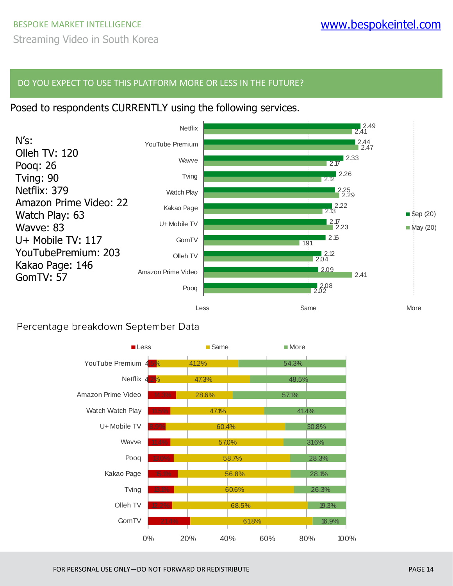#### DO YOU EXPECT TO USE THIS PLATFORM MORE OR LESS IN THE FUTURE?

#### Posed to respondents CURRENTLY using the following services.



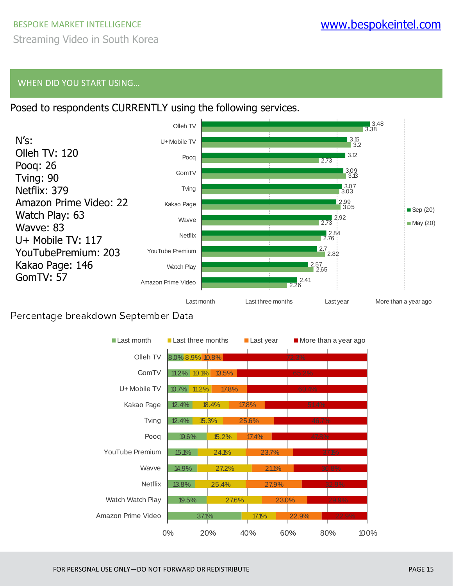### BESPOKE MARKET INTELLIGENCE WWW.**bespokeintel.com** Streaming Video in South Korea

#### WHEN DID YOU START USING…





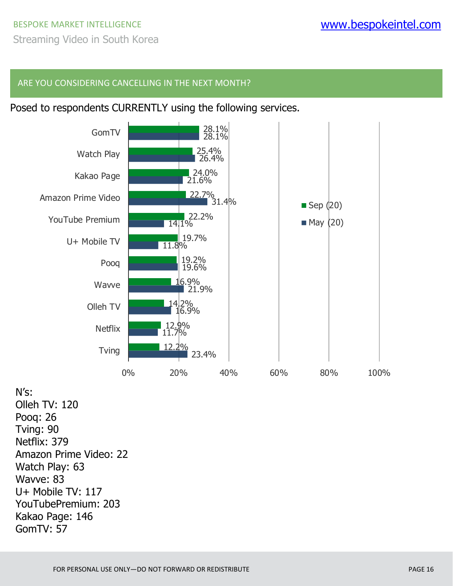#### ARE YOU CONSIDERING CANCELLING IN THE NEXT MONTH?

#### Posed to respondents CURRENTLY using the following services.



N's: Olleh TV: 120 Pooq: 26 Tving: 90 Netflix: 379 Amazon Prime Video: 22 Watch Play: 63 Wavve: 83 U+ Mobile TV: 117 YouTubePremium: 203 Kakao Page: 146 GomTV: 57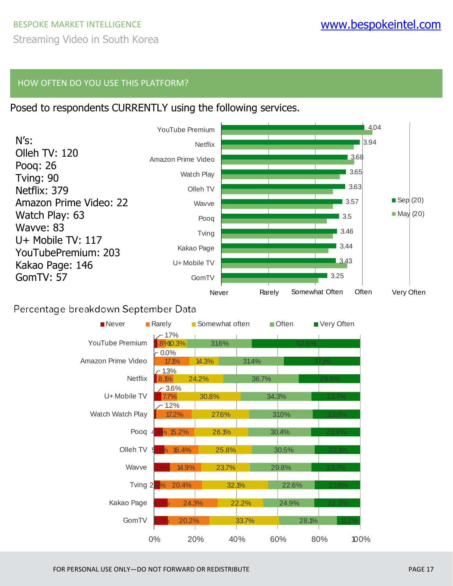#### HOW OFTEN DO YOU USE THIS PLATFORM?

#### Posed to respondents CURRENTLY using the following services.



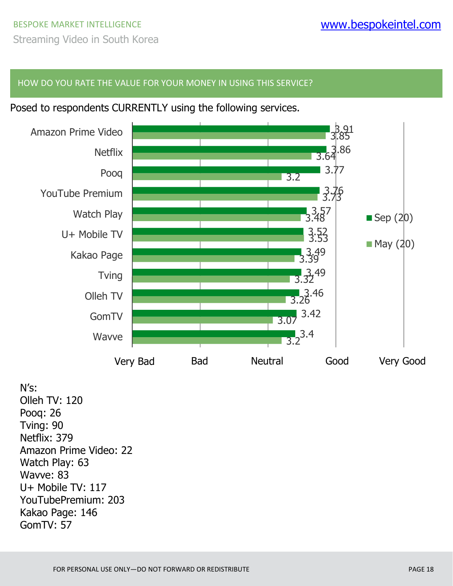#### HOW DO YOU RATE THE VALUE FOR YOUR MONEY IN USING THIS SERVICE?

Posed to respondents CURRENTLY using the following services.



N's: Olleh TV: 120 Pooq: 26 Tving: 90 Netflix: 379 Amazon Prime Video: 22 Watch Play: 63 Wavve: 83 U+ Mobile TV: 117 YouTubePremium: 203 Kakao Page: 146 GomTV: 57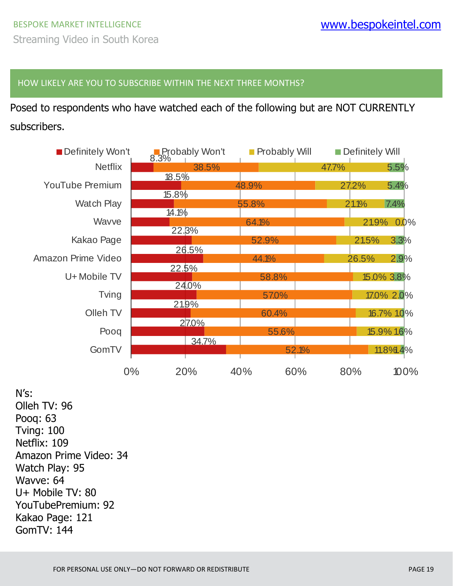#### HOW LIKELY ARE YOU TO SUBSCRIBE WITHIN THE NEXT THREE MONTHS?

Posed to respondents who have watched each of the following but are NOT CURRENTLY subscribers.

| Definitely Won't       |    | Probably Won't |       | <b>Probably Will</b> |       | Definitely Will |      |  |
|------------------------|----|----------------|-------|----------------------|-------|-----------------|------|--|
| <b>Netflix</b>         |    | 38.5%          |       |                      | 47.7% |                 | 5.5% |  |
| <b>YouTube Premium</b> |    | 18.5%          | 48.9% |                      |       | 27.2%           | 5.4% |  |
| Watch Play             |    | 15.8%<br>14.1% | 55.8% |                      |       | 21.1%<br>7.4%   |      |  |
| Wavve                  |    | 22.3%          |       | 64.1%                |       | 21.9% 0.0%      |      |  |
| Kakao Page             |    |                |       | 52.9%                |       | 21.5%           | 3.3% |  |
| Amazon Prime Video     |    | 26.5%          |       | 44.1%                |       | 26.5%           | 2.9% |  |
| U+ Mobile TV           |    | 22.5%          |       | 58.8%                |       | 15.0% 3.8%      |      |  |
| Tving                  |    | 24.0%          |       | 57.0%                |       | 17.0% 2.0%      |      |  |
| Olleh TV               |    | 21.9%          |       | 60.4%                |       | 16.7% 1.0%      |      |  |
| Poog                   |    | 27.0%          |       | 55.6%                |       | 15.9% 1.6%      |      |  |
| GomTV                  |    | 34.7%          |       | 52.1%                |       | 11.8% 4%        |      |  |
|                        | 0% | 20%            | 40%   | 60%                  | 80%   |                 | 100% |  |

N's: Olleh TV: 96 Pooq: 63 Tving: 100 Netflix: 109 Amazon Prime Video: 34 Watch Play: 95 Wavve: 64 U+ Mobile TV: 80 YouTubePremium: 92 Kakao Page: 121 GomTV: 144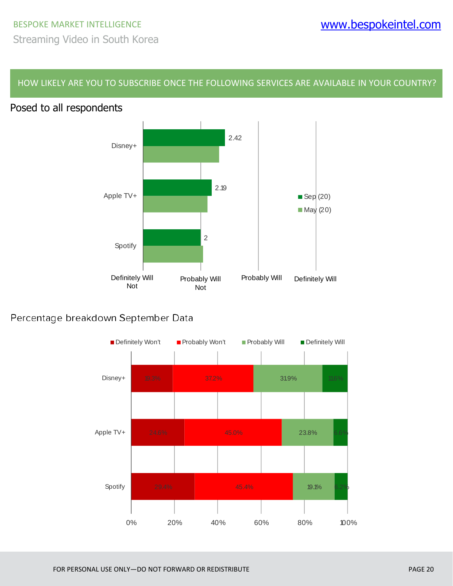HOW LIKELY ARE YOU TO SUBSCRIBE ONCE THE FOLLOWING SERVICES ARE AVAILABLE IN YOUR COUNTRY?

#### Posed to all respondents



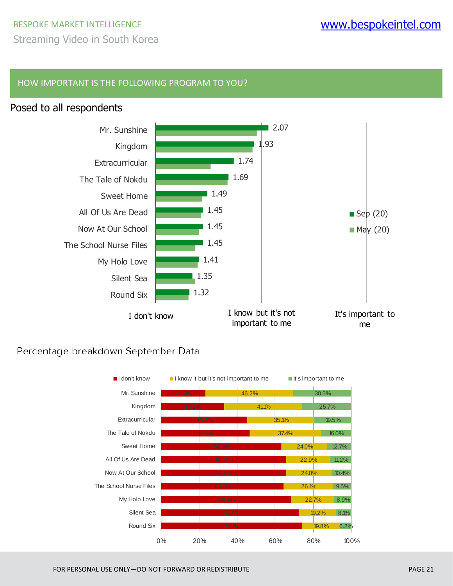### BESPOKE MARKET INTELLIGENCE WWW.**bespokeintel.com** Streaming Video in South Korea

#### HOW IMPORTANT IS THE FOLLOWING PROGRAM TO YOU?

#### Posed to all respondents



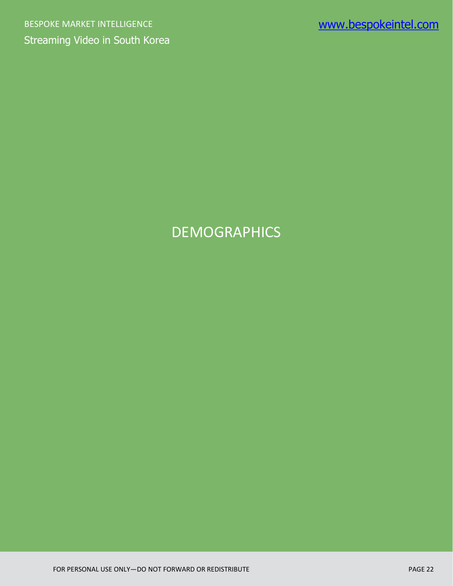# DEMOGRAPHICS

FOR PERSONAL USE ONLY—DO NOT FORWARD OR REDISTRIBUTE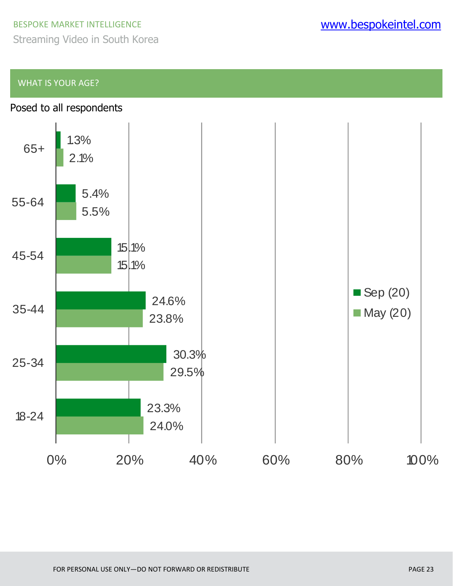Streaming Video in South Korea

#### WHAT IS YOUR AGE?

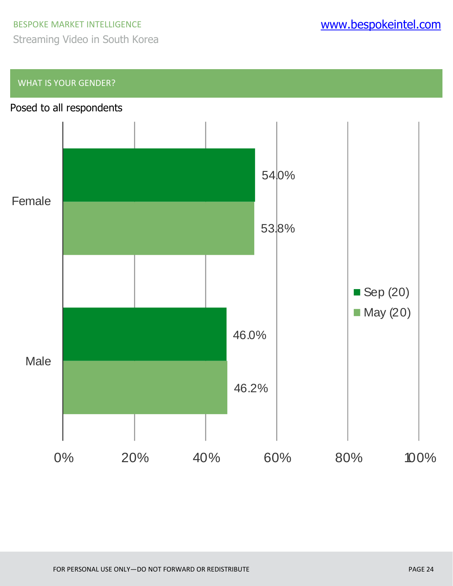Streaming Video in South Korea

#### WHAT IS YOUR GENDER?

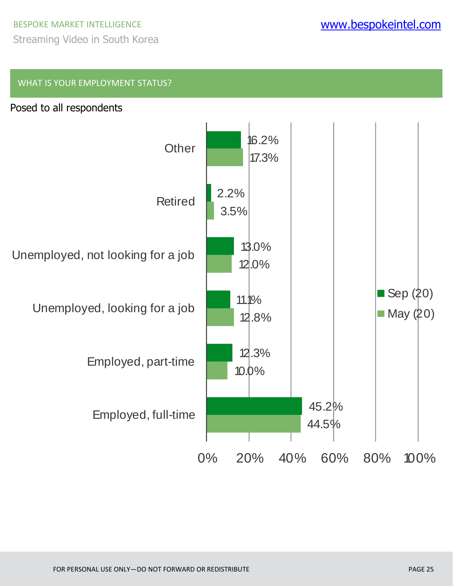### BESPOKE MARKET INTELLIGENCE WWW.**bespokeintel.com** Streaming Video in South Korea

#### WHAT IS YOUR EMPLOYMENT STATUS?